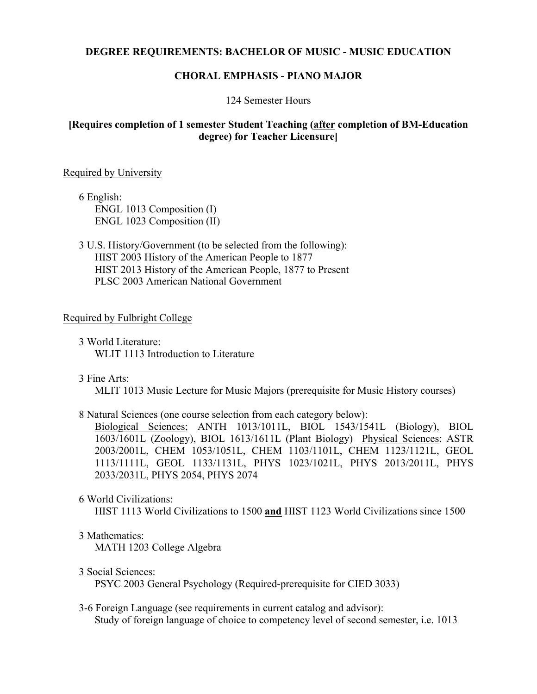# **DEGREE REQUIREMENTS: BACHELOR OF MUSIC - MUSIC EDUCATION**

## **CHORAL EMPHASIS - PIANO MAJOR**

#### 124 Semester Hours

# **[Requires completion of 1 semester Student Teaching (after completion of BM-Education degree) for Teacher Licensure]**

#### Required by University

6 English: ENGL 1013 Composition (I) ENGL 1023 Composition (II)

3 U.S. History/Government (to be selected from the following): HIST 2003 History of the American People to 1877 HIST 2013 History of the American People, 1877 to Present PLSC 2003 American National Government

### Required by Fulbright College

- 3 World Literature: WLIT 1113 Introduction to Literature
- 3 Fine Arts:

MLIT 1013 Music Lecture for Music Majors (prerequisite for Music History courses)

8 Natural Sciences (one course selection from each category below):

Biological Sciences; ANTH 1013/1011L, BIOL 1543/1541L (Biology), BIOL 1603/1601L (Zoology), BIOL 1613/1611L (Plant Biology) Physical Sciences; ASTR 2003/2001L, CHEM 1053/1051L, CHEM 1103/1101L, CHEM 1123/1121L, GEOL 1113/1111L, GEOL 1133/1131L, PHYS 1023/1021L, PHYS 2013/2011L, PHYS 2033/2031L, PHYS 2054, PHYS 2074

6 World Civilizations:

HIST 1113 World Civilizations to 1500 **and** HIST 1123 World Civilizations since 1500

#### 3 Mathematics:

MATH 1203 College Algebra

3 Social Sciences:

PSYC 2003 General Psychology (Required-prerequisite for CIED 3033)

3-6 Foreign Language (see requirements in current catalog and advisor): Study of foreign language of choice to competency level of second semester, i.e. 1013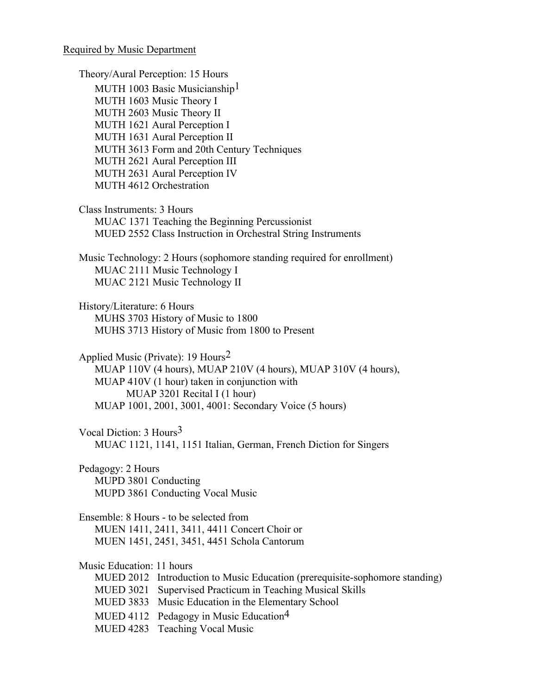#### Required by Music Department

Theory/Aural Perception: 15 Hours MUTH 1003 Basic Musicianship<sup>1</sup> MUTH 1603 Music Theory I MUTH 2603 Music Theory II MUTH 1621 Aural Perception I MUTH 1631 Aural Perception II MUTH 3613 Form and 20th Century Techniques MUTH 2621 Aural Perception III MUTH 2631 Aural Perception IV MUTH 4612 Orchestration Class Instruments: 3 Hours MUAC 1371 Teaching the Beginning Percussionist MUED 2552 Class Instruction in Orchestral String Instruments Music Technology: 2 Hours (sophomore standing required for enrollment) MUAC 2111 Music Technology I MUAC 2121 Music Technology II History/Literature: 6 Hours MUHS 3703 History of Music to 1800 MUHS 3713 History of Music from 1800 to Present Applied Music (Private): 19 Hours<sup>2</sup> MUAP 110V (4 hours), MUAP 210V (4 hours), MUAP 310V (4 hours), MUAP 410V (1 hour) taken in conjunction with MUAP 3201 Recital I (1 hour) MUAP 1001, 2001, 3001, 4001: Secondary Voice (5 hours) Vocal Diction: 3 Hours3 MUAC 1121, 1141, 1151 Italian, German, French Diction for Singers Pedagogy: 2 Hours MUPD 3801 Conducting MUPD 3861 Conducting Vocal Music Ensemble: 8 Hours - to be selected from MUEN 1411, 2411, 3411, 4411 Concert Choir or MUEN 1451, 2451, 3451, 4451 Schola Cantorum Music Education: 11 hours MUED 2012 Introduction to Music Education (prerequisite-sophomore standing) MUED 3021 Supervised Practicum in Teaching Musical Skills MUED 3833 Music Education in the Elementary School MUED 4112 Pedagogy in Music Education<sup>4</sup> MUED 4283 Teaching Vocal Music